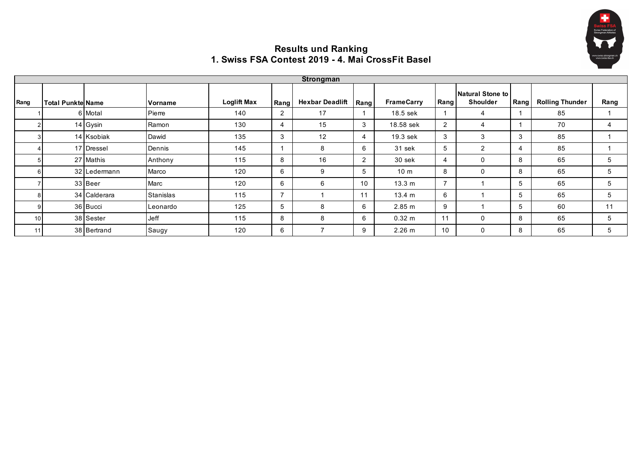

|                 | <b>Strongman</b>         |              |           |                    |                |                          |                |                   |                |                                     |      |                        |      |  |
|-----------------|--------------------------|--------------|-----------|--------------------|----------------|--------------------------|----------------|-------------------|----------------|-------------------------------------|------|------------------------|------|--|
| Rang            | <b>Total Punkte Name</b> |              | Vorname   | <b>Loglift Max</b> | Rang           | <b>Hexbar Deadlift</b>   | Rang           | <b>FrameCarry</b> | Rang           | Natural Stone to<br><b>Shoulder</b> | Rang | <b>Rolling Thunder</b> | Rang |  |
|                 |                          | 6 Motal      | Pierre    | 140                | $\overline{2}$ | 17                       |                | 18.5 sek          |                | 4                                   |      | 85                     |      |  |
|                 |                          | 14 Gysin     | Ramon     | 130                | 4              | 15                       | 3              | 18.58 sek         | 2              | 4                                   |      | 70                     | 4    |  |
|                 |                          | 14 Ksobiak   | Dawid     | 135                | 3              | 12                       | 4              | 19.3 sek          | 3              | 3                                   | 3    | 85                     |      |  |
|                 |                          | 17 Dressel   | Dennis    | 145                |                | 8                        | 6              | 31 sek            | 5              | $\mathcal{P}$                       |      | 85                     |      |  |
|                 |                          | 27 Mathis    | Anthony   | 115                | 8              | 16                       | $\overline{2}$ | 30 sek            | 4              | 0                                   | 8    | 65                     | 5    |  |
|                 |                          | 32 Ledermann | Marco     | 120                | 6              | 9                        | 5              | 10 <sub>m</sub>   | 8              | $\mathbf{0}$                        | 8    | 65                     | 5    |  |
|                 |                          | 33 Beer      | Marc      | 120                | 6              | 6                        | 10             | 13.3 m            | $\overline{7}$ |                                     | 5    | 65                     | 5    |  |
|                 |                          | 34 Calderara | Stanislas | 115                | -              |                          | 11             | $13.4 \; m$       | 6              |                                     | 5    | 65                     | 5    |  |
|                 |                          | 36 Bucci     | _eonardo  | 125                | 5              | 8                        | 6              | 2.85 m            | 9              |                                     | 5    | 60                     | 11   |  |
| 10 <sub>1</sub> |                          | 38 Sester    | Jeff      | 115                | 8              | 8                        | 6              | 0.32 m            | 11             | 0                                   | 8    | 65                     | 5    |  |
| 11              |                          | 38 Bertrand  | Saugy     | 120                | 6              | $\overline{\phantom{a}}$ | 9              | 2.26 m            | 10             | 0                                   | 8    | 65                     | 5    |  |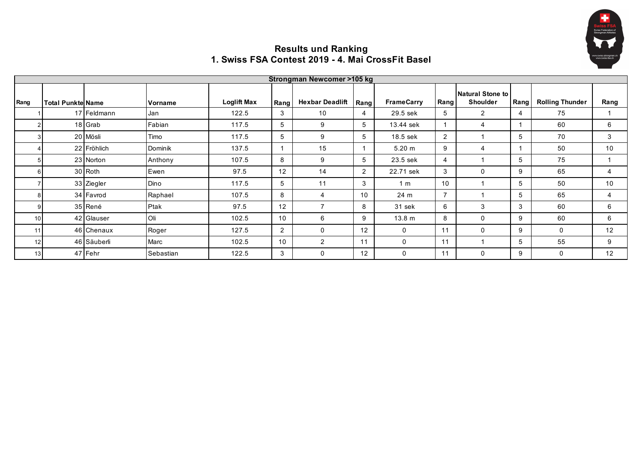

|      |                          |             |           |             |      | Strongman Newcomer >105 kg |      |                   |      |                                            |      |                        |      |
|------|--------------------------|-------------|-----------|-------------|------|----------------------------|------|-------------------|------|--------------------------------------------|------|------------------------|------|
| Rang | <b>Total Punkte Name</b> |             | Vorname   | Loglift Max | Rang | <b>Hexbar Deadlift</b>     | Rang | <b>FrameCarry</b> | Rang | <b>Natural Stone to</b><br><b>Shoulder</b> | Rang | <b>Rolling Thunder</b> | Rang |
|      |                          | 17 Feldmann | Jan       | 122.5       | 3    | 10                         | 4    | 29.5 sek          | 5    | $\overline{2}$                             | 4    | 75                     |      |
|      |                          | 18 Grab     | Fabian    | 117.5       | 5    | 9                          | 5    | 13.44 sek         |      | 4                                          |      | 60                     | 6    |
|      |                          | 20 Mösli    | Timo      | 117.5       | 5    | 9                          | 5    | 18.5 sek          | 2    |                                            | 5    | 70                     | 3    |
|      |                          | 22 Fröhlich | Dominik   | 137.5       |      | 15                         |      | 5.20 m            | 9    | 4                                          |      | 50                     | 10   |
| h    |                          | 23 Norton   | Anthony   | 107.5       | 8    | 9                          | 5    | 23.5 sek          | 4    |                                            | 5    | 75                     |      |
| ค    |                          | 30 Roth     | Ewen      | 97.5        | 12   | 14                         | 2    | 22.71 sek         | 3    | 0                                          | 9    | 65                     | 4    |
|      |                          | 33 Ziegler  | Dino      | 117.5       | 5    | 11                         | 3    | 1 <sub>m</sub>    | 10   |                                            | 5    | 50                     | 10   |
| 8    |                          | 34 Favrod   | Raphael   | 107.5       | 8    | 4                          | 10   | 24 m              | -7   |                                            | 5    | 65                     | 4    |
| g    |                          | 35 René     | Ptak      | 97.5        | 12   | $\overline{\phantom{a}}$   | 8    | 31 sek            | 6    | 3                                          | 3    | 60                     | 6    |
| 10   |                          | 42 Glauser  | Oli       | 102.5       | 10   | 6                          | 9    | 13.8 m            | 8    | 0                                          | 9    | 60                     | 6    |
|      |                          | 46 Chenaux  | Roger     | 127.5       | 2    | $\mathbf{0}$               | 12   | $\mathbf{0}$      | 11   | $\Omega$                                   | 9    | $\mathbf{0}$           | 12   |
| 12   |                          | 46 Säuberli | Marc      | 102.5       | 10   | 2                          | 11   | 0                 | 11   |                                            | 5    | 55                     | 9    |
| 13   |                          | 47 Fehr     | Sebastian | 122.5       | 3    | 0                          | 12   | 0                 | 11   | 0                                          | 9    | 0                      | 12   |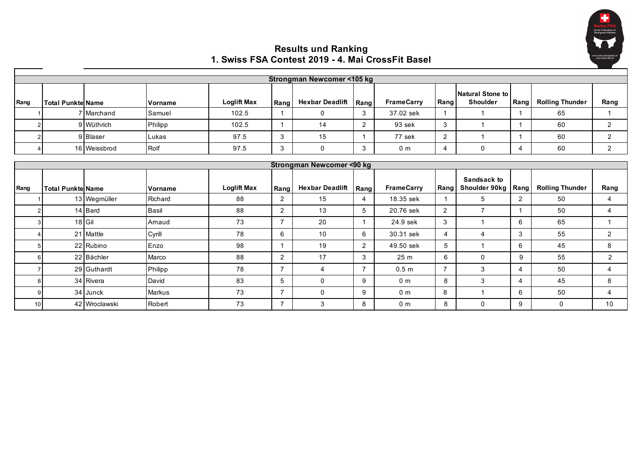

|      | Strongman Newcomer <105 kg |              |                |                    |      |                        |  |                   |      |                                     |      |                        |      |  |
|------|----------------------------|--------------|----------------|--------------------|------|------------------------|--|-------------------|------|-------------------------------------|------|------------------------|------|--|
| Rang | l Total Punktel Name       |              | <b>Vorname</b> | <b>Loglift Max</b> | Rang | Hexbar Deadlift   Rang |  | <b>FrameCarry</b> | Rang | Natural Stone to<br><b>Shoulder</b> | Rang | <b>Rolling Thunder</b> | Rang |  |
|      |                            | 7 Marchand   | Samuel         | 102.5              |      |                        |  | 37.02 sek         |      |                                     |      | 65                     |      |  |
|      |                            | 9 Wüthrich   | Philipp        | 102.5              |      |                        |  | 93 sek            |      |                                     |      | 60                     |      |  |
|      |                            | 9 Blaser     | Lukas          | 97.5               |      | 15                     |  | 77 sek            |      |                                     |      | 60                     |      |  |
|      |                            | 16 Weissbrod | <b>Rolf</b>    | 97.5               |      |                        |  | 0 <sub>m</sub>    |      |                                     | 4    | 60                     |      |  |

|      | Strongman Newcomer <90 kg |               |         |                    |                |                        |      |                   |      |                              |      |                        |                |  |
|------|---------------------------|---------------|---------|--------------------|----------------|------------------------|------|-------------------|------|------------------------------|------|------------------------|----------------|--|
| Rang | Total Punkte Name         |               | Vorname | <b>Loglift Max</b> | Rang           | <b>Hexbar Deadlift</b> | Rang | <b>FrameCarry</b> | Rang | Sandsack to<br>Shoulder 90kg | Rang | <b>Rolling Thunder</b> | Rang           |  |
|      |                           | 13 Wegmüller  | Richard | 88                 | $\overline{2}$ | 15                     | 4    | 18.35 sek         |      |                              | 2    | 50                     | 4              |  |
|      |                           | 14 Bard       | Basil   | 88                 | 2              | 13                     | 5    | 20.76 sek         | 2    |                              |      | 50                     | 4              |  |
|      |                           | $18$ Gil      | Arnaud  | 73                 |                | 20                     |      | 24.9 sek          | 3    |                              | 6    | 65                     |                |  |
|      |                           | 21 Mattle     | Cyrill  | 78                 | 6              | 10                     | 6    | 30.31 sek         |      |                              | 3    | 55                     | $\overline{2}$ |  |
|      |                           | 22 Rubino     | Enzo    | 98                 |                | 19                     | 2    | 49.50 sek         | 5    |                              | 6    | 45                     | 8              |  |
|      |                           | 22 Bächler    | Marco   | 88                 | $\overline{2}$ | 17                     | 3    | 25 <sub>m</sub>   | 6    |                              | 9    | 55                     | 2              |  |
|      |                           | 29 Guthardt   | Philipp | 78                 | -              | 4                      |      | 0.5 <sub>m</sub>  | -    |                              | 4    | 50                     | 4              |  |
|      |                           | 34 Rivera     | David   | 83                 | 5              |                        | 9    | 0 <sub>m</sub>    | 8    | 3                            | 4    | 45                     | 8              |  |
|      |                           | 34 Junck      | Markus  | 73                 | -              |                        | 9    | 0 <sub>m</sub>    | 8    |                              | 6    | 50                     | 4              |  |
| 10   |                           | 42 Wroclawski | Robert  | 73                 | -              | 3                      | 8    | 0 <sub>m</sub>    | 8    |                              | 9    | $\Omega$               | 10             |  |